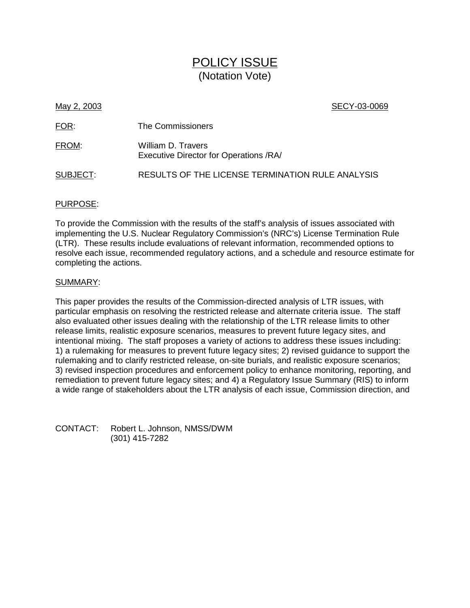# POLICY ISSUE (Notation Vote)

May 2, 2003 **SECY-03-0069** 

| FOR:     | The Commissioners                                            |
|----------|--------------------------------------------------------------|
| FROM:    | William D. Travers<br>Executive Director for Operations /RA/ |
| SUBJECT: | RESULTS OF THE LICENSE TERMINATION RULE ANALYSIS             |

# PURPOSE:

To provide the Commission with the results of the staff's analysis of issues associated with implementing the U.S. Nuclear Regulatory Commission's (NRC's) License Termination Rule (LTR). These results include evaluations of relevant information, recommended options to resolve each issue, recommended regulatory actions, and a schedule and resource estimate for completing the actions.

# SUMMARY:

This paper provides the results of the Commission-directed analysis of LTR issues, with particular emphasis on resolving the restricted release and alternate criteria issue. The staff also evaluated other issues dealing with the relationship of the LTR release limits to other release limits, realistic exposure scenarios, measures to prevent future legacy sites, and intentional mixing. The staff proposes a variety of actions to address these issues including: 1) a rulemaking for measures to prevent future legacy sites; 2) revised guidance to support the rulemaking and to clarify restricted release, on-site burials, and realistic exposure scenarios; 3) revised inspection procedures and enforcement policy to enhance monitoring, reporting, and remediation to prevent future legacy sites; and 4) a Regulatory Issue Summary (RIS) to inform a wide range of stakeholders about the LTR analysis of each issue, Commission direction, and

CONTACT: Robert L. Johnson, NMSS/DWM (301) 415-7282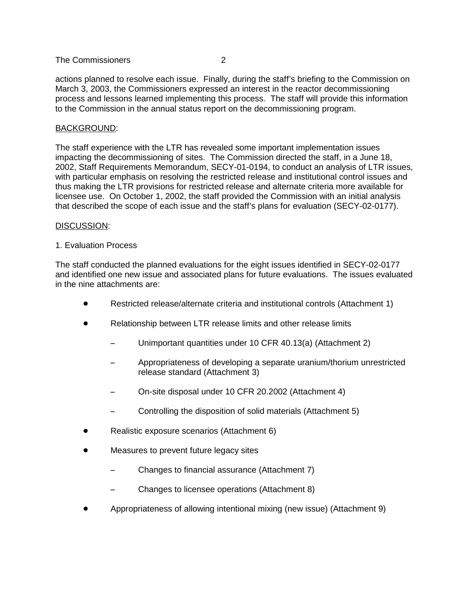actions planned to resolve each issue. Finally, during the staff's briefing to the Commission on March 3, 2003, the Commissioners expressed an interest in the reactor decommissioning process and lessons learned implementing this process. The staff will provide this information to the Commission in the annual status report on the decommissioning program.

# BACKGROUND:

The staff experience with the LTR has revealed some important implementation issues impacting the decommissioning of sites. The Commission directed the staff, in a June 18, 2002, Staff Requirements Memorandum, SECY-01-0194, to conduct an analysis of LTR issues, with particular emphasis on resolving the restricted release and institutional control issues and thus making the LTR provisions for restricted release and alternate criteria more available for licensee use. On October 1, 2002, the staff provided the Commission with an initial analysis that described the scope of each issue and the staff's plans for evaluation (SECY-02-0177).

# DISCUSSION:

# 1. Evaluation Process

The staff conducted the planned evaluations for the eight issues identified in SECY-02-0177 and identified one new issue and associated plans for future evaluations. The issues evaluated in the nine attachments are:

- Restricted release/alternate criteria and institutional controls (Attachment 1)
- Relationship between LTR release limits and other release limits
	- -Unimportant quantities under 10 CFR 40.13(a) (Attachment 2)
	- - Appropriateness of developing a separate uranium/thorium unrestricted release standard (Attachment 3)
	- -On-site disposal under 10 CFR 20.2002 (Attachment 4)
	- -Controlling the disposition of solid materials (Attachment 5)
- Realistic exposure scenarios (Attachment 6)
- Measures to prevent future legacy sites
	- -Changes to financial assurance (Attachment 7)
	- -Changes to licensee operations (Attachment 8)
- Appropriateness of allowing intentional mixing (new issue) (Attachment 9)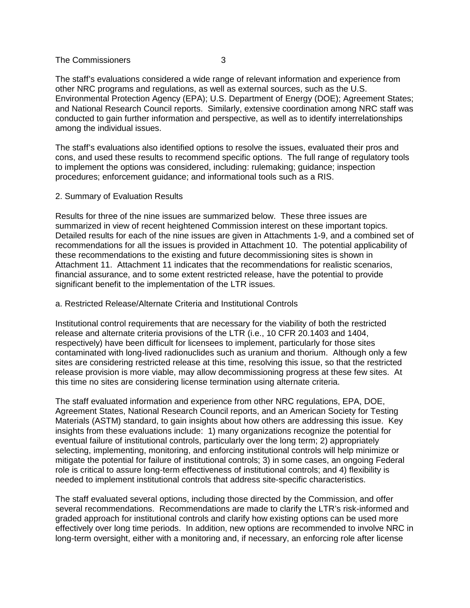The staff's evaluations considered a wide range of relevant information and experience from other NRC programs and regulations, as well as external sources, such as the U.S. Environmental Protection Agency (EPA); U.S. Department of Energy (DOE); Agreement States; and National Research Council reports. Similarly, extensive coordination among NRC staff was conducted to gain further information and perspective, as well as to identify interrelationships among the individual issues.

The staff's evaluations also identified options to resolve the issues, evaluated their pros and cons, and used these results to recommend specific options. The full range of regulatory tools to implement the options was considered, including: rulemaking; guidance; inspection procedures; enforcement guidance; and informational tools such as a RIS.

2. Summary of Evaluation Results

Results for three of the nine issues are summarized below. These three issues are summarized in view of recent heightened Commission interest on these important topics. Detailed results for each of the nine issues are given in Attachments 1-9, and a combined set of recommendations for all the issues is provided in Attachment 10. The potential applicability of these recommendations to the existing and future decommissioning sites is shown in Attachment 11. Attachment 11 indicates that the recommendations for realistic scenarios, financial assurance, and to some extent restricted release, have the potential to provide significant benefit to the implementation of the LTR issues.

a. Restricted Release/Alternate Criteria and Institutional Controls

Institutional control requirements that are necessary for the viability of both the restricted release and alternate criteria provisions of the LTR (i.e., 10 CFR 20.1403 and 1404, respectively) have been difficult for licensees to implement, particularly for those sites contaminated with long-lived radionuclides such as uranium and thorium. Although only a few sites are considering restricted release at this time, resolving this issue, so that the restricted release provision is more viable, may allow decommissioning progress at these few sites. At this time no sites are considering license termination using alternate criteria.

The staff evaluated information and experience from other NRC regulations, EPA, DOE, Agreement States, National Research Council reports, and an American Society for Testing Materials (ASTM) standard, to gain insights about how others are addressing this issue. Key insights from these evaluations include: 1) many organizations recognize the potential for eventual failure of institutional controls, particularly over the long term; 2) appropriately selecting, implementing, monitoring, and enforcing institutional controls will help minimize or mitigate the potential for failure of institutional controls; 3) in some cases, an ongoing Federal role is critical to assure long-term effectiveness of institutional controls; and 4) flexibility is needed to implement institutional controls that address site-specific characteristics.

The staff evaluated several options, including those directed by the Commission, and offer several recommendations. Recommendations are made to clarify the LTR's risk-informed and graded approach for institutional controls and clarify how existing options can be used more effectively over long time periods. In addition, new options are recommended to involve NRC in long-term oversight, either with a monitoring and, if necessary, an enforcing role after license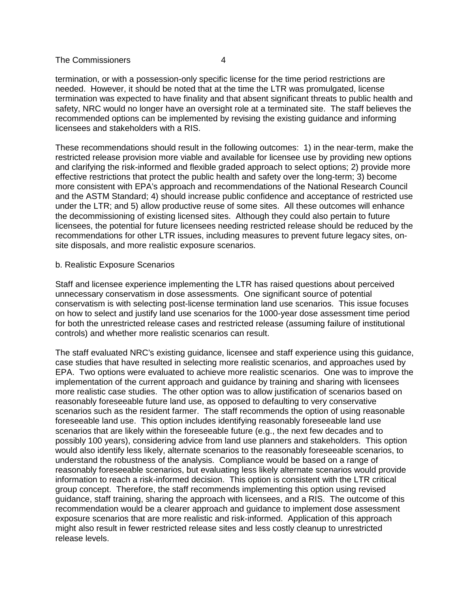termination, or with a possession-only specific license for the time period restrictions are needed. However, it should be noted that at the time the LTR was promulgated, license termination was expected to have finality and that absent significant threats to public health and safety, NRC would no longer have an oversight role at a terminated site. The staff believes the recommended options can be implemented by revising the existing guidance and informing licensees and stakeholders with a RIS.

These recommendations should result in the following outcomes: 1) in the near-term, make the restricted release provision more viable and available for licensee use by providing new options and clarifying the risk-informed and flexible graded approach to select options; 2) provide more effective restrictions that protect the public health and safety over the long-term; 3) become more consistent with EPA's approach and recommendations of the National Research Council and the ASTM Standard; 4) should increase public confidence and acceptance of restricted use under the LTR; and 5) allow productive reuse of some sites. All these outcomes will enhance the decommissioning of existing licensed sites. Although they could also pertain to future licensees, the potential for future licensees needing restricted release should be reduced by the recommendations for other LTR issues, including measures to prevent future legacy sites, onsite disposals, and more realistic exposure scenarios.

#### b. Realistic Exposure Scenarios

Staff and licensee experience implementing the LTR has raised questions about perceived unnecessary conservatism in dose assessments. One significant source of potential conservatism is with selecting post-license termination land use scenarios. This issue focuses on how to select and justify land use scenarios for the 1000-year dose assessment time period for both the unrestricted release cases and restricted release (assuming failure of institutional controls) and whether more realistic scenarios can result.

The staff evaluated NRC's existing guidance, licensee and staff experience using this guidance, case studies that have resulted in selecting more realistic scenarios, and approaches used by EPA. Two options were evaluated to achieve more realistic scenarios. One was to improve the implementation of the current approach and guidance by training and sharing with licensees more realistic case studies. The other option was to allow justification of scenarios based on reasonably foreseeable future land use, as opposed to defaulting to very conservative scenarios such as the resident farmer. The staff recommends the option of using reasonable foreseeable land use. This option includes identifying reasonably foreseeable land use scenarios that are likely within the foreseeable future (e.g., the next few decades and to possibly 100 years), considering advice from land use planners and stakeholders. This option would also identify less likely, alternate scenarios to the reasonably foreseeable scenarios, to understand the robustness of the analysis. Compliance would be based on a range of reasonably foreseeable scenarios, but evaluating less likely alternate scenarios would provide information to reach a risk-informed decision. This option is consistent with the LTR critical group concept. Therefore, the staff recommends implementing this option using revised guidance, staff training, sharing the approach with licensees, and a RIS. The outcome of this recommendation would be a clearer approach and guidance to implement dose assessment exposure scenarios that are more realistic and risk-informed. Application of this approach might also result in fewer restricted release sites and less costly cleanup to unrestricted release levels.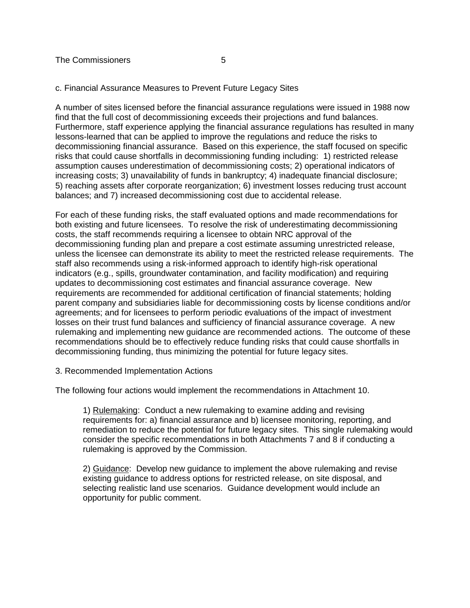#### c. Financial Assurance Measures to Prevent Future Legacy Sites

A number of sites licensed before the financial assurance regulations were issued in 1988 now find that the full cost of decommissioning exceeds their projections and fund balances. Furthermore, staff experience applying the financial assurance regulations has resulted in many lessons-learned that can be applied to improve the regulations and reduce the risks to decommissioning financial assurance. Based on this experience, the staff focused on specific risks that could cause shortfalls in decommissioning funding including: 1) restricted release assumption causes underestimation of decommissioning costs; 2) operational indicators of increasing costs; 3) unavailability of funds in bankruptcy; 4) inadequate financial disclosure; 5) reaching assets after corporate reorganization; 6) investment losses reducing trust account balances; and 7) increased decommissioning cost due to accidental release.

For each of these funding risks, the staff evaluated options and made recommendations for both existing and future licensees. To resolve the risk of underestimating decommissioning costs, the staff recommends requiring a licensee to obtain NRC approval of the decommissioning funding plan and prepare a cost estimate assuming unrestricted release, unless the licensee can demonstrate its ability to meet the restricted release requirements. The staff also recommends using a risk-informed approach to identify high-risk operational indicators (e.g., spills, groundwater contamination, and facility modification) and requiring updates to decommissioning cost estimates and financial assurance coverage. New requirements are recommended for additional certification of financial statements; holding parent company and subsidiaries liable for decommissioning costs by license conditions and/or agreements; and for licensees to perform periodic evaluations of the impact of investment losses on their trust fund balances and sufficiency of financial assurance coverage. A new rulemaking and implementing new guidance are recommended actions. The outcome of these recommendations should be to effectively reduce funding risks that could cause shortfalls in decommissioning funding, thus minimizing the potential for future legacy sites.

# 3. Recommended Implementation Actions

The following four actions would implement the recommendations in Attachment 10.

1) Rulemaking: Conduct a new rulemaking to examine adding and revising requirements for: a) financial assurance and b) licensee monitoring, reporting, and remediation to reduce the potential for future legacy sites. This single rulemaking would consider the specific recommendations in both Attachments 7 and 8 if conducting a rulemaking is approved by the Commission.

2) Guidance: Develop new guidance to implement the above rulemaking and revise existing guidance to address options for restricted release, on site disposal, and selecting realistic land use scenarios. Guidance development would include an opportunity for public comment.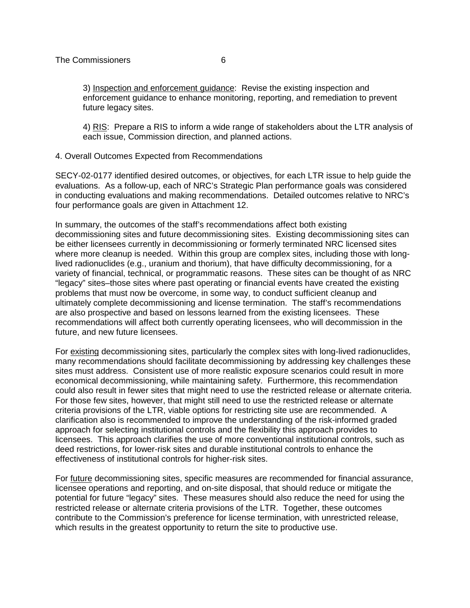3) Inspection and enforcement guidance: Revise the existing inspection and enforcement guidance to enhance monitoring, reporting, and remediation to prevent future legacy sites.

4) RIS: Prepare a RIS to inform a wide range of stakeholders about the LTR analysis of each issue, Commission direction, and planned actions.

4. Overall Outcomes Expected from Recommendations

SECY-02-0177 identified desired outcomes, or objectives, for each LTR issue to help guide the evaluations. As a follow-up, each of NRC's Strategic Plan performance goals was considered in conducting evaluations and making recommendations. Detailed outcomes relative to NRC's four performance goals are given in Attachment 12.

In summary, the outcomes of the staff's recommendations affect both existing decommissioning sites and future decommissioning sites. Existing decommissioning sites can be either licensees currently in decommissioning or formerly terminated NRC licensed sites where more cleanup is needed. Within this group are complex sites, including those with longlived radionuclides (e.g., uranium and thorium), that have difficulty decommissioning, for a variety of financial, technical, or programmatic reasons. These sites can be thought of as NRC "legacy" sites–those sites where past operating or financial events have created the existing problems that must now be overcome, in some way, to conduct sufficient cleanup and ultimately complete decommissioning and license termination. The staff's recommendations are also prospective and based on lessons learned from the existing licensees. These recommendations will affect both currently operating licensees, who will decommission in the future, and new future licensees.

For existing decommissioning sites, particularly the complex sites with long-lived radionuclides, many recommendations should facilitate decommissioning by addressing key challenges these sites must address. Consistent use of more realistic exposure scenarios could result in more economical decommissioning, while maintaining safety. Furthermore, this recommendation could also result in fewer sites that might need to use the restricted release or alternate criteria. For those few sites, however, that might still need to use the restricted release or alternate criteria provisions of the LTR, viable options for restricting site use are recommended. A clarification also is recommended to improve the understanding of the risk-informed graded approach for selecting institutional controls and the flexibility this approach provides to licensees. This approach clarifies the use of more conventional institutional controls, such as deed restrictions, for lower-risk sites and durable institutional controls to enhance the effectiveness of institutional controls for higher-risk sites.

For future decommissioning sites, specific measures are recommended for financial assurance, licensee operations and reporting, and on-site disposal, that should reduce or mitigate the potential for future "legacy" sites. These measures should also reduce the need for using the restricted release or alternate criteria provisions of the LTR. Together, these outcomes contribute to the Commission's preference for license termination, with unrestricted release, which results in the greatest opportunity to return the site to productive use.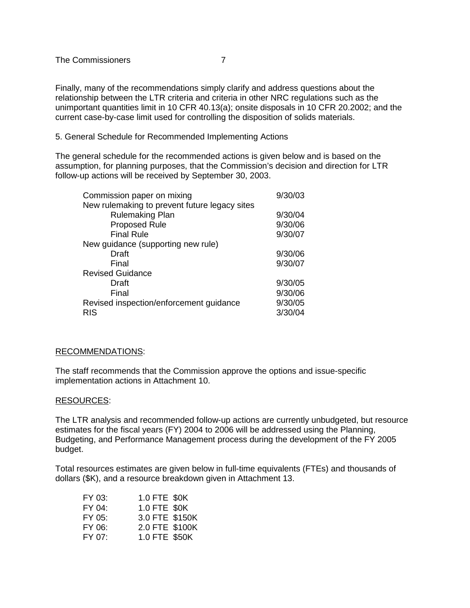Finally, many of the recommendations simply clarify and address questions about the relationship between the LTR criteria and criteria in other NRC regulations such as the unimportant quantities limit in 10 CFR 40.13(a); onsite disposals in 10 CFR 20.2002; and the current case-by-case limit used for controlling the disposition of solids materials.

5. General Schedule for Recommended Implementing Actions

The general schedule for the recommended actions is given below and is based on the assumption, for planning purposes, that the Commission's decision and direction for LTR follow-up actions will be received by September 30, 2003.

| Commission paper on mixing                    | 9/30/03 |
|-----------------------------------------------|---------|
| New rulemaking to prevent future legacy sites |         |
| <b>Rulemaking Plan</b>                        | 9/30/04 |
| Proposed Rule                                 | 9/30/06 |
| <b>Final Rule</b>                             | 9/30/07 |
| New guidance (supporting new rule)            |         |
| Draft                                         | 9/30/06 |
| Final                                         | 9/30/07 |
| <b>Revised Guidance</b>                       |         |
| Draft                                         | 9/30/05 |
| Final                                         | 9/30/06 |
| Revised inspection/enforcement guidance       | 9/30/05 |
| <b>RIS</b>                                    | 3/30/04 |

# RECOMMENDATIONS:

The staff recommends that the Commission approve the options and issue-specific implementation actions in Attachment 10.

# RESOURCES:

The LTR analysis and recommended follow-up actions are currently unbudgeted, but resource estimates for the fiscal years (FY) 2004 to 2006 will be addressed using the Planning, Budgeting, and Performance Management process during the development of the FY 2005 budget.

Total resources estimates are given below in full-time equivalents (FTEs) and thousands of dollars (\$K), and a resource breakdown given in Attachment 13.

| FY 03:    | 1.0 FTE \$0K   |  |
|-----------|----------------|--|
| FY 04:    | 1.0 FTE \$0K   |  |
| $FY$ 0.5: | 3.0 FTE \$150K |  |
| FY 06:    | 2.0 FTE \$100K |  |
| FY 07:    | 1.0 FTE \$50K  |  |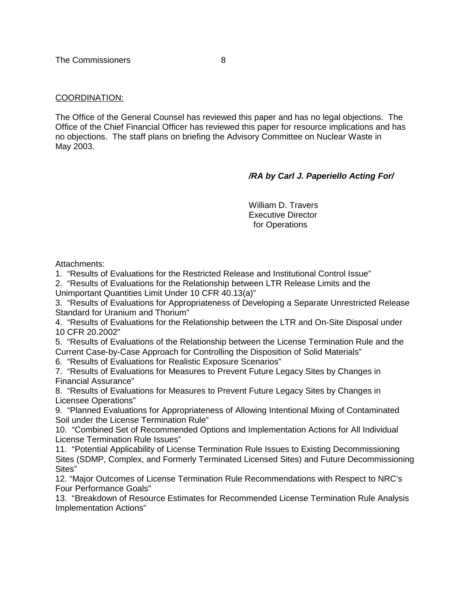# COORDINATION:

The Office of the General Counsel has reviewed this paper and has no legal objections. The Office of the Chief Financial Officer has reviewed this paper for resource implications and has no objections. The staff plans on briefing the Advisory Committee on Nuclear Waste in May 2003.

# **/RA by Carl J. Paperiello Acting For/**

William D. Travers Executive Director for Operations

Attachments:

1. "Results of Evaluations for the Restricted Release and Institutional Control Issue"

2. "Results of Evaluations for the Relationship between LTR Release Limits and the Unimportant Quantities Limit Under 10 CFR 40.13(a)"

3. "Results of Evaluations for Appropriateness of Developing a Separate Unrestricted Release Standard for Uranium and Thorium"

4. "Results of Evaluations for the Relationship between the LTR and On-Site Disposal under 10 CFR 20.2002"

5. "Results of Evaluations of the Relationship between the License Termination Rule and the Current Case-by-Case Approach for Controlling the Disposition of Solid Materials"

6. "Results of Evaluations for Realistic Exposure Scenarios"

7. "Results of Evaluations for Measures to Prevent Future Legacy Sites by Changes in Financial Assurance"

8. "Results of Evaluations for Measures to Prevent Future Legacy Sites by Changes in Licensee Operations"

9. "Planned Evaluations for Appropriateness of Allowing Intentional Mixing of Contaminated Soil under the License Termination Rule"

10. "Combined Set of Recommended Options and Implementation Actions for All Individual License Termination Rule Issues"

11. "Potential Applicability of License Termination Rule Issues to Existing Decommissioning Sites (SDMP, Complex, and Formerly Terminated Licensed Sites) and Future Decommissioning Sites"

12. "Major Outcomes of License Termination Rule Recommendations with Respect to NRC's Four Performance Goals"

13. "Breakdown of Resource Estimates for Recommended License Termination Rule Analysis Implementation Actions"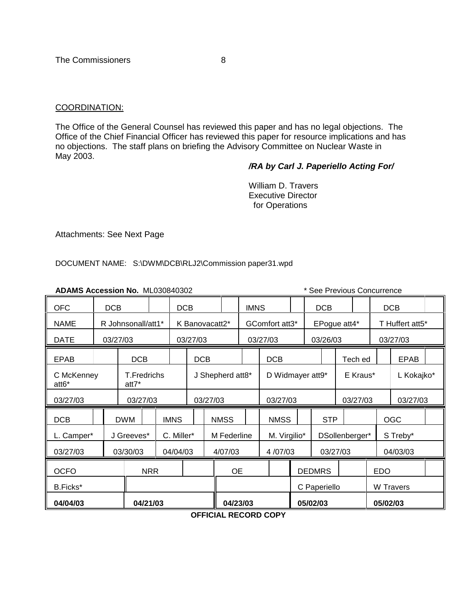# COORDINATION:

The Office of the General Counsel has reviewed this paper and has no legal objections. The Office of the Chief Financial Officer has reviewed this paper for resource implications and has no objections. The staff plans on briefing the Advisory Committee on Nuclear Waste in May 2003.

# **/RA by Carl J. Paperiello Acting For/**

William D. Travers Executive Director for Operations

Attachments: See Next Page

DOCUMENT NAME: S:\DWM\DCB\RLJ2\Commission paper31.wpd

| ADAMS Accession No. ML030840302 |                             |                    |            |                     |                |                           |           |             |                | * See Previous Concurrence |                  |              |            |                |                  |                 |             |  |
|---------------------------------|-----------------------------|--------------------|------------|---------------------|----------------|---------------------------|-----------|-------------|----------------|----------------------------|------------------|--------------|------------|----------------|------------------|-----------------|-------------|--|
| <b>OFC</b>                      |                             | <b>DCB</b>         | <b>DCB</b> |                     |                |                           |           |             | <b>IMNS</b>    |                            | <b>DCB</b>       |              |            |                | <b>DCB</b>       |                 |             |  |
| <b>NAME</b>                     |                             | R Johnsonall/att1* |            |                     | K Banovacatt2* |                           |           |             | GComfort att3* |                            |                  | EPogue att4* |            |                |                  | T Huffert att5* |             |  |
| <b>DATE</b>                     | 03/27/03                    |                    |            | 03/27/03            |                |                           | 03/27/03  |             |                | 03/26/03                   |                  |              |            | 03/27/03       |                  |                 |             |  |
| <b>EPAB</b>                     |                             |                    |            | <b>DCB</b>          |                |                           |           |             |                | <b>DCB</b>                 |                  |              |            | Tech ed        |                  |                 | <b>EPAB</b> |  |
| C McKenney<br>att6*             | <b>T.Fredrichs</b><br>att7* |                    |            |                     |                | J Shepherd att8*          |           |             |                |                            | D Widmayer att9* |              |            |                | E Kraus*         |                 | L Kokajko*  |  |
| 03/27/03                        | 03/27/03                    |                    |            |                     | 03/27/03       |                           |           |             | 03/27/03       |                            |                  |              | 03/27/03   |                |                  | 03/27/03        |             |  |
| <b>DCB</b>                      |                             |                    | <b>DWM</b> |                     | <b>IMNS</b>    |                           |           | <b>NMSS</b> |                | <b>NMSS</b>                |                  | <b>STP</b>   |            |                |                  | <b>OGC</b>      |             |  |
| L. Camper*                      |                             |                    | J Greeves* |                     |                | C. Miller*<br>M Federline |           |             |                |                            | M. Virgilio*     |              |            | DSollenberger* |                  | S Treby*        |             |  |
| 03/27/03                        |                             |                    | 03/30/03   | 04/04/03<br>4/07/03 |                |                           |           |             | 4/07/03        | 03/27/03                   |                  |              |            | 04/03/03       |                  |                 |             |  |
| <b>OCFO</b><br><b>NRR</b>       |                             |                    |            |                     |                |                           | <b>OE</b> |             |                | <b>DEDMRS</b>              |                  |              | <b>EDO</b> |                |                  |                 |             |  |
| B.Ficks*                        |                             |                    |            |                     |                |                           |           |             |                |                            | C Paperiello     |              |            |                | <b>W</b> Travers |                 |             |  |
| 04/04/03                        | 04/21/03                    |                    |            |                     |                |                           | 04/23/03  |             |                |                            | 05/02/03         |              |            |                | 05/02/03         |                 |             |  |

**OFFICIAL RECORD COPY**